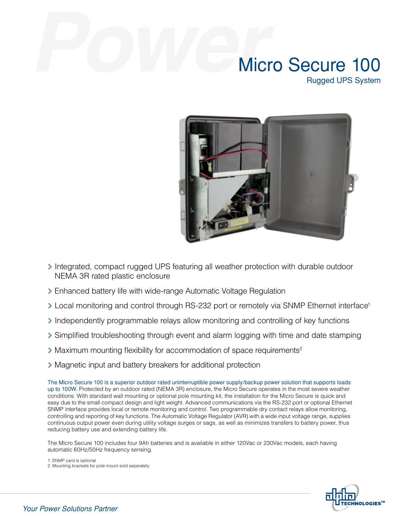# Micro Secure 100 Rugged UPS System



- > Integrated, compact rugged UPS featuring all weather protection with durable outdoor NEMA 3R rated plastic enclosure
- > Enhanced battery life with wide-range Automatic Voltage Regulation
- > Local monitoring and control through RS-232 port or remotely via SNMP Ethernet interface<sup>1</sup>
- > Independently programmable relays allow monitoring and controlling of key functions
- > Simplified troubleshooting through event and alarm logging with time and date stamping
- > Maximum mounting flexibility for accommodation of space requirements2
- > Magnetic input and battery breakers for additional protection

The Micro Secure 100 is a superior outdoor rated uninterruptible power supply/backup power solution that supports loads up to 100W. Protected by an outdoor rated (NEMA 3R) enclosure, the Micro Secure operates in the most severe weather conditions. With standard wall mounting or optional pole mounting kit, the installation for the Micro Secure is quick and easy due to the small compact design and light weight. Advanced communications via the RS-232 port or optional Ethernet SNMP interface provides local or remote monitoring and control. Two programmable dry contact relays allow monitoring, controlling and reporting of key functions. The Automatic Voltage Regulator (AVR) with a wide input voltage range, supplies continuous output power even during utility voltage surges or sags, as well as minimizes transfers to battery power, thus reducing battery use and extending battery life.

The Micro Secure 100 includes four 9Ah batteries and is available in either 120Vac or 230Vac models, each having automatic 60Hz/50Hz frequency sensing.

1. SNMP card is optional 2. Mounting brackets for pole mount sold separately